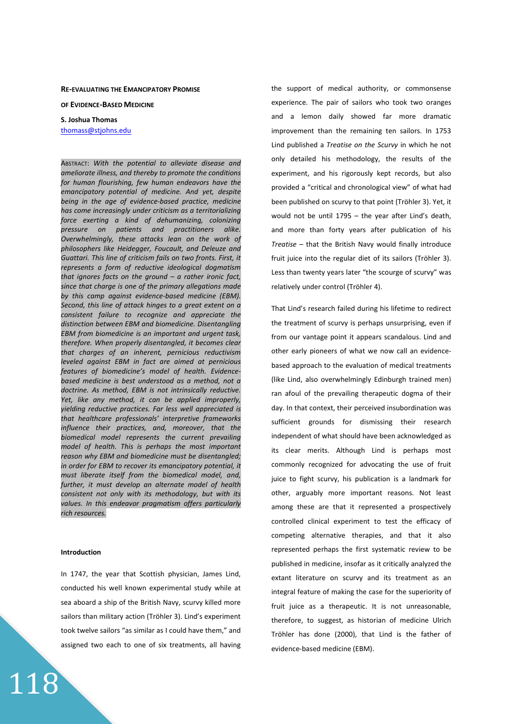### **RE-EVALUATING THE EMANCIPATORY PROMISE**

**OF EVIDENCE-BASED MEDICINE**

# **S. Joshua Thomas**  thomass@stjohns.edu

ABSTRACT: *With the potential to alleviate disease and ameliorate illness, and thereby to promote the conditions for human flourishing, few human endeavors have the emancipatory potential of medicine. And yet, despite being in the age of evidence-based practice, medicine has come increasingly under criticism as a territorializing force exerting a kind of dehumanizing, colonizing pressure on patients and practitioners alike. Overwhelmingly, these attacks lean on the work of philosophers like Heidegger, Foucault, and Deleuze and Guattari. This line of criticism fails on two fronts. First, it represents a form of reductive ideological dogmatism that ignores facts on the ground – a rather ironic fact, since that charge is one of the primary allegations made by this camp against evidence-based medicine (EBM). Second, this line of attack hinges to a great extent on a consistent failure to recognize and appreciate the distinction between EBM and biomedicine. Disentangling EBM from biomedicine is an important and urgent task, therefore. When properly disentangled, it becomes clear that charges of an inherent, pernicious reductivism leveled against EBM in fact are aimed at pernicious features of biomedicine's model of health. Evidencebased medicine is best understood as a method, not a doctrine. As method, EBM is not intrinsically reductive. Yet, like any method, it can be applied improperly, yielding reductive practices. Far less well appreciated is that healthcare professionals' interpretive frameworks influence their practices, and, moreover, that the biomedical model represents the current prevailing model of health. This is perhaps the most important reason why EBM and biomedicine must be disentangled; in order for EBM to recover its emancipatory potential, it must liberate itself from the biomedical model, and, further, it must develop an alternate model of health consistent not only with its methodology, but with its values. In this endeavor pragmatism offers particularly rich resources.*

#### **Introduction**

118

In 1747, the year that Scottish physician, James Lind, conducted his well known experimental study while at sea aboard a ship of the British Navy, scurvy killed more sailors than military action (Tröhler 3). Lind's experiment took twelve sailors "as similar as I could have them," and assigned two each to one of six treatments, all having the support of medical authority, or commonsense experience. The pair of sailors who took two oranges and a lemon daily showed far more dramatic improvement than the remaining ten sailors. In 1753 Lind published a *Treatise on the Scurvy* in which he not only detailed his methodology, the results of the experiment, and his rigorously kept records, but also provided a "critical and chronological view" of what had been published on scurvy to that point (Tröhler 3). Yet, it would not be until 1795 – the year after Lind's death, and more than forty years after publication of his *Treatise* – that the British Navy would finally introduce fruit juice into the regular diet of its sailors (Tröhler 3). Less than twenty years later "the scourge of scurvy" was relatively under control (Tröhler 4).

That Lind's research failed during his lifetime to redirect the treatment of scurvy is perhaps unsurprising, even if from our vantage point it appears scandalous. Lind and other early pioneers of what we now call an evidencebased approach to the evaluation of medical treatments (like Lind, also overwhelmingly Edinburgh trained men) ran afoul of the prevailing therapeutic dogma of their day. In that context, their perceived insubordination was sufficient grounds for dismissing their research independent of what should have been acknowledged as its clear merits. Although Lind is perhaps most commonly recognized for advocating the use of fruit juice to fight scurvy, his publication is a landmark for other, arguably more important reasons. Not least among these are that it represented a prospectively controlled clinical experiment to test the efficacy of competing alternative therapies, and that it also represented perhaps the first systematic review to be published in medicine, insofar as it critically analyzed the extant literature on scurvy and its treatment as an integral feature of making the case for the superiority of fruit juice as a therapeutic. It is not unreasonable, therefore, to suggest, as historian of medicine Ulrich Tröhler has done (2000), that Lind is the father of evidence-based medicine (EBM).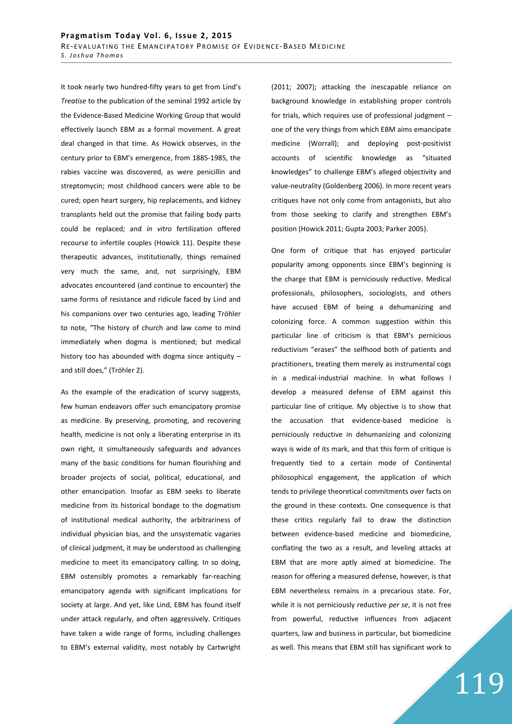It took nearly two hundred-fifty years to get from Lind's *Treatise* to the publication of the seminal 1992 article by the Evidence-Based Medicine Working Group that would effectively launch EBM as a formal movement. A great deal changed in that time. As Howick observes, in the century prior to EBM's emergence, from 1885-1985, the rabies vaccine was discovered, as were penicillin and streptomycin; most childhood cancers were able to be cured; open heart surgery, hip replacements, and kidney transplants held out the promise that failing body parts could be replaced; and *in vitro* fertilization offered recourse to infertile couples (Howick 11). Despite these therapeutic advances, institutionally, things remained very much the same, and, not surprisingly, EBM advocates encountered (and continue to encounter) the same forms of resistance and ridicule faced by Lind and his companions over two centuries ago, leading Tröhler to note, "The history of church and law come to mind immediately when dogma is mentioned; but medical history too has abounded with dogma since antiquity – and still does," (Tröhler 2).

As the example of the eradication of scurvy suggests, few human endeavors offer such emancipatory promise as medicine. By preserving, promoting, and recovering health, medicine is not only a liberating enterprise in its own right, it simultaneously safeguards and advances many of the basic conditions for human flourishing and broader projects of social, political, educational, and other emancipation. Insofar as EBM seeks to liberate medicine from its historical bondage to the dogmatism of institutional medical authority, the arbitrariness of individual physician bias, and the unsystematic vagaries of clinical judgment, it may be understood as challenging medicine to meet its emancipatory calling. In so doing, EBM ostensibly promotes a remarkably far-reaching emancipatory agenda with significant implications for society at large. And yet, like Lind, EBM has found itself under attack regularly, and often aggressively. Critiques have taken a wide range of forms, including challenges to EBM's external validity, most notably by Cartwright (2011; 2007); attacking the inescapable reliance on background knowledge in establishing proper controls for trials, which requires use of professional judgment – one of the very things from which EBM aims emancipate medicine (Worrall); and deploying post-positivist accounts of scientific knowledge as "situated knowledges" to challenge EBM's alleged objectivity and value-neutrality (Goldenberg 2006). In more recent years critiques have not only come from antagonists, but also from those seeking to clarify and strengthen EBM's position (Howick 2011; Gupta 2003; Parker 2005).

One form of critique that has enjoyed particular popularity among opponents since EBM's beginning is the charge that EBM is perniciously reductive. Medical professionals, philosophers, sociologists, and others have accused EBM of being a dehumanizing and colonizing force. A common suggestion within this particular line of criticism is that EBM's pernicious reductivism "erases" the selfhood both of patients and practitioners, treating them merely as instrumental cogs in a medical-industrial machine. In what follows I develop a measured defense of EBM against this particular line of critique. My objective is to show that the accusation that evidence-based medicine is perniciously reductive in dehumanizing and colonizing ways is wide of its mark, and that this form of critique is frequently tied to a certain mode of Continental philosophical engagement, the application of which tends to privilege theoretical commitments over facts on the ground in these contexts. One consequence is that these critics regularly fail to draw the distinction between evidence-based medicine and biomedicine, conflating the two as a result, and leveling attacks at EBM that are more aptly aimed at biomedicine. The reason for offering a measured defense, however, is that EBM nevertheless remains in a precarious state. For, while it is not perniciously reductive *per se*, it is not free from powerful, reductive influences from adjacent quarters, law and business in particular, but biomedicine as well. This means that EBM still has significant work to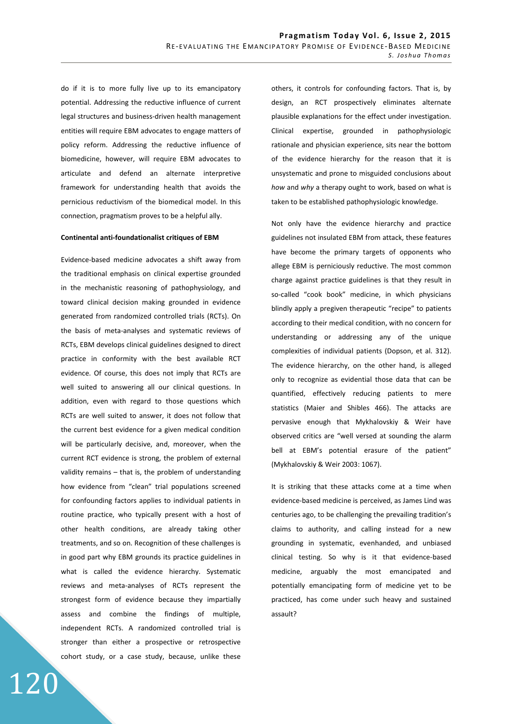do if it is to more fully live up to its emancipatory potential. Addressing the reductive influence of current legal structures and business-driven health management entities will require EBM advocates to engage matters of policy reform. Addressing the reductive influence of biomedicine, however, will require EBM advocates to articulate and defend an alternate interpretive framework for understanding health that avoids the pernicious reductivism of the biomedical model. In this connection, pragmatism proves to be a helpful ally.

#### **Continental anti-foundationalist critiques of EBM**

Evidence-based medicine advocates a shift away from the traditional emphasis on clinical expertise grounded in the mechanistic reasoning of pathophysiology, and toward clinical decision making grounded in evidence generated from randomized controlled trials (RCTs). On the basis of meta-analyses and systematic reviews of RCTs, EBM develops clinical guidelines designed to direct practice in conformity with the best available RCT evidence. Of course, this does not imply that RCTs are well suited to answering all our clinical questions. In addition, even with regard to those questions which RCTs are well suited to answer, it does not follow that the current best evidence for a given medical condition will be particularly decisive, and, moreover, when the current RCT evidence is strong, the problem of external validity remains – that is, the problem of understanding how evidence from "clean" trial populations screened for confounding factors applies to individual patients in routine practice, who typically present with a host of other health conditions, are already taking other treatments, and so on. Recognition of these challenges is in good part why EBM grounds its practice guidelines in what is called the evidence hierarchy. Systematic reviews and meta-analyses of RCTs represent the strongest form of evidence because they impartially assess and combine the findings of multiple, independent RCTs. A randomized controlled trial is stronger than either a prospective or retrospective cohort study, or a case study, because, unlike these

others, it controls for confounding factors. That is, by design, an RCT prospectively eliminates alternate plausible explanations for the effect under investigation. Clinical expertise, grounded in pathophysiologic rationale and physician experience, sits near the bottom of the evidence hierarchy for the reason that it is unsystematic and prone to misguided conclusions about *how* and *why* a therapy ought to work, based on what is taken to be established pathophysiologic knowledge.

Not only have the evidence hierarchy and practice guidelines not insulated EBM from attack, these features have become the primary targets of opponents who allege EBM is perniciously reductive. The most common charge against practice guidelines is that they result in so-called "cook book" medicine, in which physicians blindly apply a pregiven therapeutic "recipe" to patients according to their medical condition, with no concern for understanding or addressing any of the unique complexities of individual patients (Dopson, et al. 312). The evidence hierarchy, on the other hand, is alleged only to recognize as evidential those data that can be quantified, effectively reducing patients to mere statistics (Maier and Shibles 466). The attacks are pervasive enough that Mykhalovskiy & Weir have observed critics are "well versed at sounding the alarm bell at EBM's potential erasure of the patient" (Mykhalovskiy & Weir 2003: 1067).

It is striking that these attacks come at a time when evidence-based medicine is perceived, as James Lind was centuries ago, to be challenging the prevailing tradition's claims to authority, and calling instead for a new grounding in systematic, evenhanded, and unbiased clinical testing. So why is it that evidence-based medicine, arguably the most emancipated and potentially emancipating form of medicine yet to be practiced, has come under such heavy and sustained assault?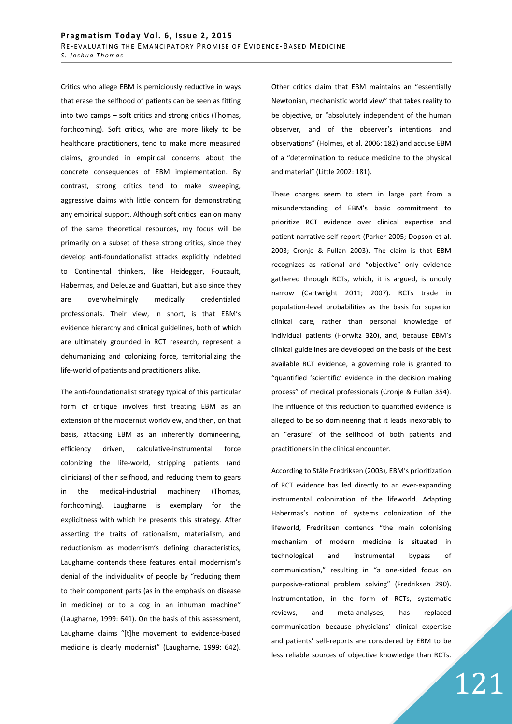Critics who allege EBM is perniciously reductive in ways that erase the selfhood of patients can be seen as fitting into two camps – soft critics and strong critics (Thomas, forthcoming). Soft critics, who are more likely to be healthcare practitioners, tend to make more measured claims, grounded in empirical concerns about the concrete consequences of EBM implementation. By contrast, strong critics tend to make sweeping, aggressive claims with little concern for demonstrating any empirical support. Although soft critics lean on many of the same theoretical resources, my focus will be primarily on a subset of these strong critics, since they develop anti-foundationalist attacks explicitly indebted to Continental thinkers, like Heidegger, Foucault, Habermas, and Deleuze and Guattari, but also since they are overwhelmingly medically credentialed professionals. Their view, in short, is that EBM's evidence hierarchy and clinical guidelines, both of which are ultimately grounded in RCT research, represent a dehumanizing and colonizing force, territorializing the life-world of patients and practitioners alike.

The anti-foundationalist strategy typical of this particular form of critique involves first treating EBM as an extension of the modernist worldview, and then, on that basis, attacking EBM as an inherently domineering, efficiency driven, calculative-instrumental force colonizing the life-world, stripping patients (and clinicians) of their selfhood, and reducing them to gears in the medical-industrial machinery (Thomas, forthcoming). Laugharne is exemplary for the explicitness with which he presents this strategy. After asserting the traits of rationalism, materialism, and reductionism as modernism's defining characteristics, Laugharne contends these features entail modernism's denial of the individuality of people by "reducing them to their component parts (as in the emphasis on disease in medicine) or to a cog in an inhuman machine" (Laugharne, 1999: 641). On the basis of this assessment, Laugharne claims "[t]he movement to evidence-based medicine is clearly modernist" (Laugharne, 1999: 642).

Other critics claim that EBM maintains an "essentially Newtonian, mechanistic world view" that takes reality to be objective, or "absolutely independent of the human observer, and of the observer's intentions and observations" (Holmes, et al. 2006: 182) and accuse EBM of a "determination to reduce medicine to the physical and material" (Little 2002: 181).

These charges seem to stem in large part from a misunderstanding of EBM's basic commitment to prioritize RCT evidence over clinical expertise and patient narrative self-report (Parker 2005; Dopson et al. 2003; Cronje & Fullan 2003). The claim is that EBM recognizes as rational and "objective" only evidence gathered through RCTs, which, it is argued, is unduly narrow (Cartwright 2011; 2007). RCTs trade in population-level probabilities as the basis for superior clinical care, rather than personal knowledge of individual patients (Horwitz 320), and, because EBM's clinical guidelines are developed on the basis of the best available RCT evidence, a governing role is granted to "quantified 'scientific' evidence in the decision making process" of medical professionals (Cronje & Fullan 354). The influence of this reduction to quantified evidence is alleged to be so domineering that it leads inexorably to an "erasure" of the selfhood of both patients and practitioners in the clinical encounter.

According to Ståle Fredriksen (2003), EBM's prioritization of RCT evidence has led directly to an ever-expanding instrumental colonization of the lifeworld. Adapting Habermas's notion of systems colonization of the lifeworld, Fredriksen contends "the main colonising mechanism of modern medicine is situated in technological and instrumental bypass of communication," resulting in "a one-sided focus on purposive-rational problem solving" (Fredriksen 290). Instrumentation, in the form of RCTs, systematic reviews, and meta-analyses, has replaced communication because physicians' clinical expertise and patients' self-reports are considered by EBM to be less reliable sources of objective knowledge than RCTs.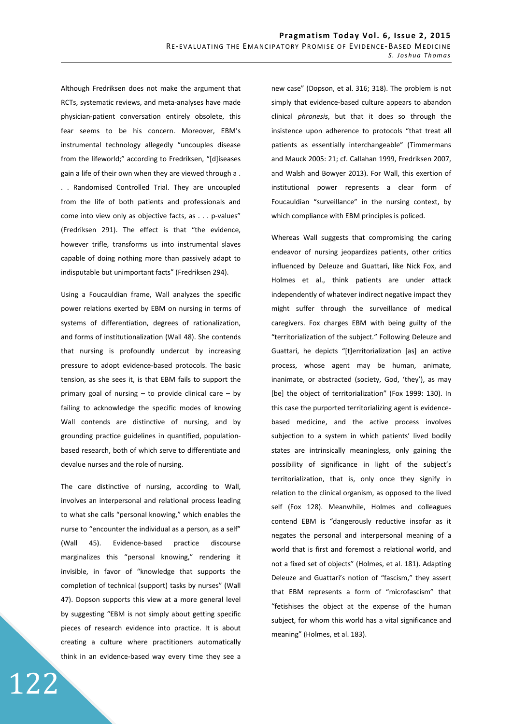Although Fredriksen does not make the argument that RCTs, systematic reviews, and meta-analyses have made physician-patient conversation entirely obsolete, this fear seems to be his concern. Moreover, EBM's instrumental technology allegedly "uncouples disease from the lifeworld;" according to Fredriksen, "[d]iseases gain a life of their own when they are viewed through a . . . Randomised Controlled Trial. They are uncoupled from the life of both patients and professionals and come into view only as objective facts, as . . . p-values" (Fredriksen 291). The effect is that "the evidence, however trifle, transforms us into instrumental slaves capable of doing nothing more than passively adapt to indisputable but unimportant facts" (Fredriksen 294).

Using a Foucauldian frame, Wall analyzes the specific power relations exerted by EBM on nursing in terms of systems of differentiation, degrees of rationalization, and forms of institutionalization (Wall 48). She contends that nursing is profoundly undercut by increasing pressure to adopt evidence-based protocols. The basic tension, as she sees it, is that EBM fails to support the primary goal of nursing – to provide clinical care – by failing to acknowledge the specific modes of knowing Wall contends are distinctive of nursing, and by grounding practice guidelines in quantified, populationbased research, both of which serve to differentiate and devalue nurses and the role of nursing.

The care distinctive of nursing, according to Wall, involves an interpersonal and relational process leading to what she calls "personal knowing," which enables the nurse to "encounter the individual as a person, as a self" (Wall 45). Evidence-based practice discourse marginalizes this "personal knowing," rendering it invisible, in favor of "knowledge that supports the completion of technical (support) tasks by nurses" (Wall 47). Dopson supports this view at a more general level by suggesting "EBM is not simply about getting specific pieces of research evidence into practice. It is about creating a culture where practitioners automatically think in an evidence-based way every time they see a

new case" (Dopson, et al. 316; 318). The problem is not simply that evidence-based culture appears to abandon clinical *phronesis*, but that it does so through the insistence upon adherence to protocols "that treat all patients as essentially interchangeable" (Timmermans and Mauck 2005: 21; cf. Callahan 1999, Fredriksen 2007, and Walsh and Bowyer 2013). For Wall, this exertion of institutional power represents a clear form of Foucauldian "surveillance" in the nursing context, by which compliance with EBM principles is policed.

Whereas Wall suggests that compromising the caring endeavor of nursing jeopardizes patients, other critics influenced by Deleuze and Guattari, like Nick Fox, and Holmes et al., think patients are under attack independently of whatever indirect negative impact they might suffer through the surveillance of medical caregivers. Fox charges EBM with being guilty of the "territorialization of the subject." Following Deleuze and Guattari, he depicts "[t]erritorialization [as] an active process, whose agent may be human, animate, inanimate, or abstracted (society, God, 'they'), as may [be] the object of territorialization" (Fox 1999: 130). In this case the purported territorializing agent is evidencebased medicine, and the active process involves subjection to a system in which patients' lived bodily states are intrinsically meaningless, only gaining the possibility of significance in light of the subject's territorialization, that is, only once they signify in relation to the clinical organism, as opposed to the lived self (Fox 128). Meanwhile, Holmes and colleagues contend EBM is "dangerously reductive insofar as it negates the personal and interpersonal meaning of a world that is first and foremost a relational world, and not a fixed set of objects" (Holmes, et al. 181). Adapting Deleuze and Guattari's notion of "fascism," they assert that EBM represents a form of "microfascism" that "fetishises the object at the expense of the human subject, for whom this world has a vital significance and meaning" (Holmes, et al. 183).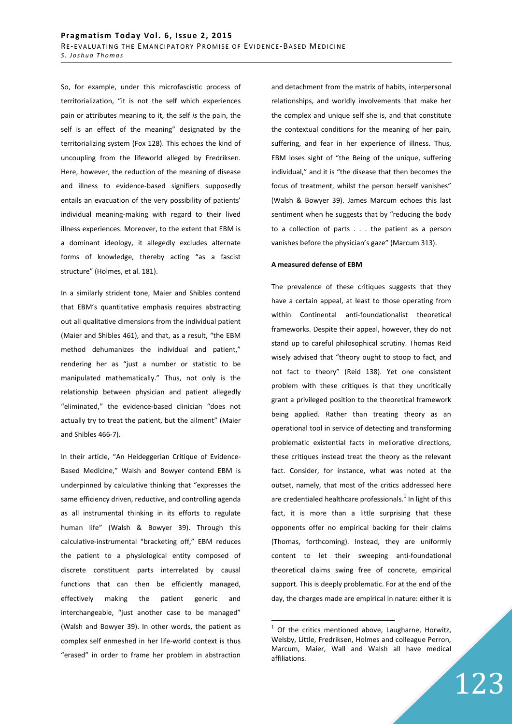So, for example, under this microfascistic process of territorialization, "it is not the self which experiences pain or attributes meaning to it, the self *is* the pain, the self is an effect of the meaning" designated by the territorializing system (Fox 128). This echoes the kind of uncoupling from the lifeworld alleged by Fredriksen. Here, however, the reduction of the meaning of disease and illness to evidence-based signifiers supposedly entails an evacuation of the very possibility of patients' individual meaning-making with regard to their lived illness experiences. Moreover, to the extent that EBM is a dominant ideology, it allegedly excludes alternate forms of knowledge, thereby acting "as a fascist structure" (Holmes, et al. 181).

In a similarly strident tone, Maier and Shibles contend that EBM's quantitative emphasis requires abstracting out all qualitative dimensions from the individual patient (Maier and Shibles 461), and that, as a result, "the EBM method dehumanizes the individual and patient," rendering her as "just a number or statistic to be manipulated mathematically." Thus, not only is the relationship between physician and patient allegedly "eliminated," the evidence-based clinician "does not actually try to treat the patient, but the ailment" (Maier and Shibles 466-7).

In their article, "An Heideggerian Critique of Evidence-Based Medicine," Walsh and Bowyer contend EBM is underpinned by calculative thinking that "expresses the same efficiency driven, reductive, and controlling agenda as all instrumental thinking in its efforts to regulate human life" (Walsh & Bowyer 39). Through this calculative-instrumental "bracketing off," EBM reduces the patient to a physiological entity composed of discrete constituent parts interrelated by causal functions that can then be efficiently managed, effectively making the patient generic and interchangeable, "just another case to be managed" (Walsh and Bowyer 39). In other words, the patient as complex self enmeshed in her life-world context is thus "erased" in order to frame her problem in abstraction and detachment from the matrix of habits, interpersonal relationships, and worldly involvements that make her the complex and unique self she is, and that constitute the contextual conditions for the meaning of her pain, suffering, and fear in her experience of illness. Thus, EBM loses sight of "the Being of the unique, suffering individual," and it is "the disease that then becomes the focus of treatment, whilst the person herself vanishes" (Walsh & Bowyer 39). James Marcum echoes this last sentiment when he suggests that by "reducing the body to a collection of parts . . . the patient as a person vanishes before the physician's gaze" (Marcum 313).

## **A measured defense of EBM**

The prevalence of these critiques suggests that they have a certain appeal, at least to those operating from within Continental anti-foundationalist theoretical frameworks. Despite their appeal, however, they do not stand up to careful philosophical scrutiny. Thomas Reid wisely advised that "theory ought to stoop to fact, and not fact to theory" (Reid 138). Yet one consistent problem with these critiques is that they uncritically grant a privileged position to the theoretical framework being applied. Rather than treating theory as an operational tool in service of detecting and transforming problematic existential facts in meliorative directions, these critiques instead treat the theory as the relevant fact. Consider, for instance, what was noted at the outset, namely, that most of the critics addressed here are credentialed healthcare professionals.<sup>1</sup> In light of this fact, it is more than a little surprising that these opponents offer no empirical backing for their claims (Thomas, forthcoming). Instead, they are uniformly content to let their sweeping anti-foundational theoretical claims swing free of concrete, empirical support. This is deeply problematic. For at the end of the day, the charges made are empirical in nature: either it is

 $1$  Of the critics mentioned above, Laugharne, Horwitz, Welsby, Little, Fredriksen, Holmes and colleague Perron, Marcum, Maier, Wall and Walsh all have medical affiliations.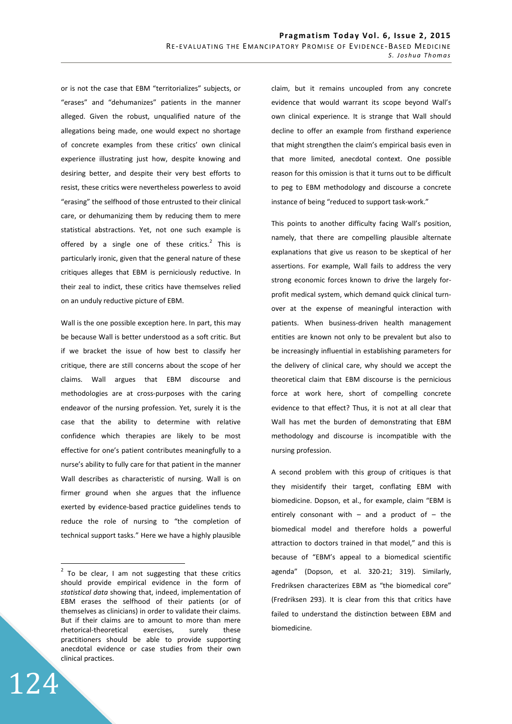or is not the case that EBM "territorializes" subjects, or "erases" and "dehumanizes" patients in the manner alleged. Given the robust, unqualified nature of the allegations being made, one would expect no shortage of concrete examples from these critics' own clinical experience illustrating just how, despite knowing and desiring better, and despite their very best efforts to resist, these critics were nevertheless powerless to avoid "erasing" the selfhood of those entrusted to their clinical care, or dehumanizing them by reducing them to mere statistical abstractions. Yet, not one such example is offered by a single one of these critics.<sup>2</sup> This is particularly ironic, given that the general nature of these critiques alleges that EBM is perniciously reductive. In their zeal to indict, these critics have themselves relied on an unduly reductive picture of EBM.

Wall is the one possible exception here. In part, this may be because Wall is better understood as a soft critic. But if we bracket the issue of how best to classify her critique, there are still concerns about the scope of her claims. Wall argues that EBM discourse and methodologies are at cross-purposes with the caring endeavor of the nursing profession. Yet, surely it is the case that the ability to determine with relative confidence which therapies are likely to be most effective for one's patient contributes meaningfully to a nurse's ability to fully care for that patient in the manner Wall describes as characteristic of nursing. Wall is on firmer ground when she argues that the influence exerted by evidence-based practice guidelines tends to reduce the role of nursing to "the completion of technical support tasks." Here we have a highly plausible

124

 $\overline{a}$ 

claim, but it remains uncoupled from any concrete evidence that would warrant its scope beyond Wall's own clinical experience. It is strange that Wall should decline to offer an example from firsthand experience that might strengthen the claim's empirical basis even in that more limited, anecdotal context. One possible reason for this omission is that it turns out to be difficult to peg to EBM methodology and discourse a concrete instance of being "reduced to support task-work."

This points to another difficulty facing Wall's position, namely, that there are compelling plausible alternate explanations that give us reason to be skeptical of her assertions. For example, Wall fails to address the very strong economic forces known to drive the largely forprofit medical system, which demand quick clinical turnover at the expense of meaningful interaction with patients. When business-driven health management entities are known not only to be prevalent but also to be increasingly influential in establishing parameters for the delivery of clinical care, why should we accept the theoretical claim that EBM discourse is the pernicious force at work here, short of compelling concrete evidence to that effect? Thus, it is not at all clear that Wall has met the burden of demonstrating that EBM methodology and discourse is incompatible with the nursing profession.

A second problem with this group of critiques is that they misidentify their target, conflating EBM with biomedicine. Dopson, et al., for example, claim "EBM is entirely consonant with  $-$  and a product of  $-$  the biomedical model and therefore holds a powerful attraction to doctors trained in that model," and this is because of "EBM's appeal to a biomedical scientific agenda" (Dopson, et al. 320-21; 319). Similarly, Fredriksen characterizes EBM as "the biomedical core" (Fredriksen 293). It is clear from this that critics have failed to understand the distinction between EBM and biomedicine.

 $2$  To be clear, I am not suggesting that these critics should provide empirical evidence in the form of *statistical data* showing that, indeed, implementation of EBM erases the selfhood of their patients (or of themselves as clinicians) in order to validate their claims. But if their claims are to amount to more than mere rhetorical-theoretical exercises, surely these practitioners should be able to provide supporting anecdotal evidence or case studies from their own clinical practices.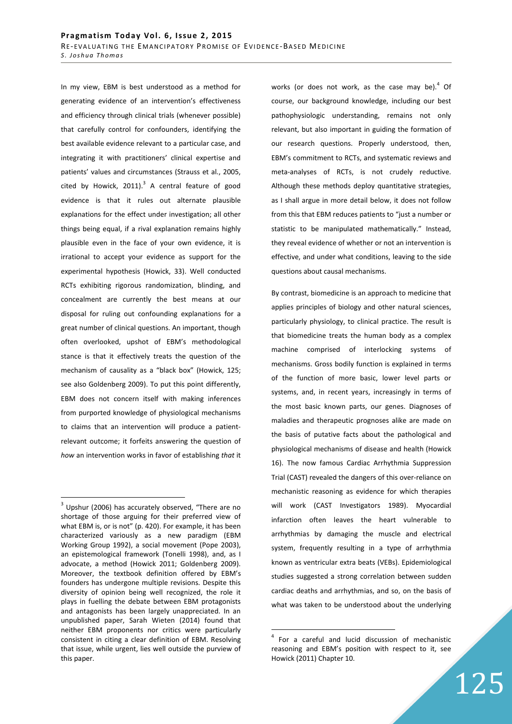In my view, EBM is best understood as a method for generating evidence of an intervention's effectiveness and efficiency through clinical trials (whenever possible) that carefully control for confounders, identifying the best available evidence relevant to a particular case, and integrating it with practitioners' clinical expertise and patients' values and circumstances (Strauss et al., 2005, cited by Howick, 2011). $3$  A central feature of good evidence is that it rules out alternate plausible explanations for the effect under investigation; all other things being equal, if a rival explanation remains highly plausible even in the face of your own evidence, it is irrational to accept your evidence as support for the experimental hypothesis (Howick, 33). Well conducted RCTs exhibiting rigorous randomization, blinding, and concealment are currently the best means at our disposal for ruling out confounding explanations for a great number of clinical questions. An important, though often overlooked, upshot of EBM's methodological stance is that it effectively treats the question of the mechanism of causality as a "black box" (Howick, 125; see also Goldenberg 2009). To put this point differently, EBM does not concern itself with making inferences from purported knowledge of physiological mechanisms to claims that an intervention will produce a patientrelevant outcome; it forfeits answering the question of *how* an intervention works in favor of establishing *that* it

 $\overline{a}$ 

works (or does not work, as the case may be). $<sup>4</sup>$  Of</sup> course, our background knowledge, including our best pathophysiologic understanding, remains not only relevant, but also important in guiding the formation of our research questions. Properly understood, then, EBM's commitment to RCTs, and systematic reviews and meta-analyses of RCTs, is not crudely reductive. Although these methods deploy quantitative strategies, as I shall argue in more detail below, it does not follow from this that EBM reduces patients to "just a number or statistic to be manipulated mathematically." Instead, they reveal evidence of whether or not an intervention is effective, and under what conditions, leaving to the side questions about causal mechanisms.

By contrast, biomedicine is an approach to medicine that applies principles of biology and other natural sciences, particularly physiology, to clinical practice. The result is that biomedicine treats the human body as a complex machine comprised of interlocking systems of mechanisms. Gross bodily function is explained in terms of the function of more basic, lower level parts or systems, and, in recent years, increasingly in terms of the most basic known parts, our genes. Diagnoses of maladies and therapeutic prognoses alike are made on the basis of putative facts about the pathological and physiological mechanisms of disease and health (Howick 16). The now famous Cardiac Arrhythmia Suppression Trial (CAST) revealed the dangers of this over-reliance on mechanistic reasoning as evidence for which therapies will work (CAST Investigators 1989). Myocardial infarction often leaves the heart vulnerable to arrhythmias by damaging the muscle and electrical system, frequently resulting in a type of arrhythmia known as ventricular extra beats (VEBs). Epidemiological studies suggested a strong correlation between sudden cardiac deaths and arrhythmias, and so, on the basis of what was taken to be understood about the underlying

 $3$  Upshur (2006) has accurately observed, "There are no shortage of those arguing for their preferred view of what EBM is, or is not" (p. 420). For example, it has been characterized variously as a new paradigm (EBM Working Group 1992), a social movement (Pope 2003), an epistemological framework (Tonelli 1998), and, as I advocate, a method (Howick 2011; Goldenberg 2009). Moreover, the textbook definition offered by EBM's founders has undergone multiple revisions. Despite this diversity of opinion being well recognized, the role it plays in fuelling the debate between EBM protagonists and antagonists has been largely unappreciated. In an unpublished paper, Sarah Wieten (2014) found that neither EBM proponents nor critics were particularly consistent in citing a clear definition of EBM. Resolving that issue, while urgent, lies well outside the purview of this paper.

<sup>&</sup>lt;sup>4</sup> For a careful and lucid discussion of mechanistic reasoning and EBM's position with respect to it, see Howick (2011) Chapter 10.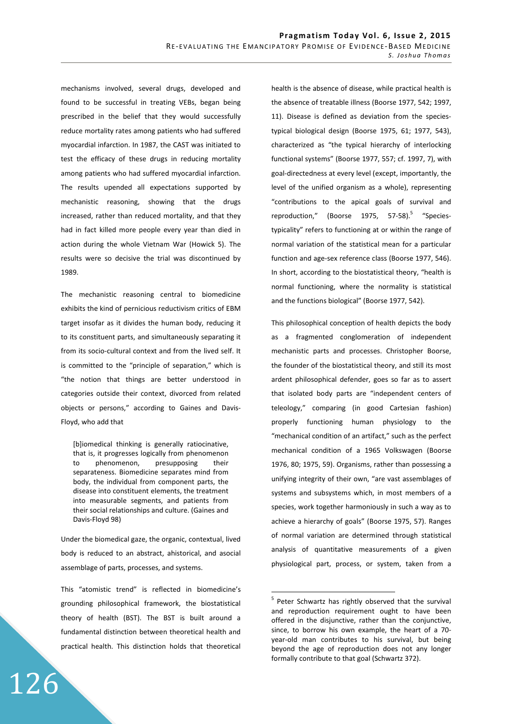mechanisms involved, several drugs, developed and found to be successful in treating VEBs, began being prescribed in the belief that they would successfully reduce mortality rates among patients who had suffered myocardial infarction. In 1987, the CAST was initiated to test the efficacy of these drugs in reducing mortality among patients who had suffered myocardial infarction. The results upended all expectations supported by mechanistic reasoning, showing that the drugs increased, rather than reduced mortality, and that they had in fact killed more people every year than died in action during the whole Vietnam War (Howick 5). The results were so decisive the trial was discontinued by 1989.

The mechanistic reasoning central to biomedicine exhibits the kind of pernicious reductivism critics of EBM target insofar as it divides the human body, reducing it to its constituent parts, and simultaneously separating it from its socio-cultural context and from the lived self. It is committed to the "principle of separation," which is "the notion that things are better understood in categories outside their context, divorced from related objects or persons," according to Gaines and Davis-Floyd, who add that

[b]iomedical thinking is generally ratiocinative, that is, it progresses logically from phenomenon to phenomenon, presupposing their separateness. Biomedicine separates mind from body, the individual from component parts, the disease into constituent elements, the treatment into measurable segments, and patients from their social relationships and culture. (Gaines and Davis-Floyd 98)

Under the biomedical gaze, the organic, contextual, lived body is reduced to an abstract, ahistorical, and asocial assemblage of parts, processes, and systems.

This "atomistic trend" is reflected in biomedicine's grounding philosophical framework, the biostatistical theory of health (BST). The BST is built around a fundamental distinction between theoretical health and practical health. This distinction holds that theoretical

126

health is the absence of disease, while practical health is the absence of treatable illness (Boorse 1977, 542; 1997, 11). Disease is defined as deviation from the speciestypical biological design (Boorse 1975, 61; 1977, 543), characterized as "the typical hierarchy of interlocking functional systems" (Boorse 1977, 557; cf. 1997, 7), with goal-directedness at every level (except, importantly, the level of the unified organism as a whole), representing "contributions to the apical goals of survival and reproduction," (Boorse 1975, 57-58).<sup>5</sup> "Speciestypicality" refers to functioning at or within the range of normal variation of the statistical mean for a particular function and age-sex reference class (Boorse 1977, 546). In short, according to the biostatistical theory, "health is normal functioning, where the normality is statistical and the functions biological" (Boorse 1977, 542).

This philosophical conception of health depicts the body as a fragmented conglomeration of independent mechanistic parts and processes. Christopher Boorse, the founder of the biostatistical theory, and still its most ardent philosophical defender, goes so far as to assert that isolated body parts are "independent centers of teleology," comparing (in good Cartesian fashion) properly functioning human physiology to the "mechanical condition of an artifact," such as the perfect mechanical condition of a 1965 Volkswagen (Boorse 1976, 80; 1975, 59). Organisms, rather than possessing a unifying integrity of their own, "are vast assemblages of systems and subsystems which, in most members of a species, work together harmoniously in such a way as to achieve a hierarchy of goals" (Boorse 1975, 57). Ranges of normal variation are determined through statistical analysis of quantitative measurements of a given physiological part, process, or system, taken from a

<sup>&</sup>lt;sup>5</sup> Peter Schwartz has rightly observed that the survival and reproduction requirement ought to have been offered in the disjunctive, rather than the conjunctive, since, to borrow his own example, the heart of a 70 year-old man contributes to his survival, but being beyond the age of reproduction does not any longer formally contribute to that goal (Schwartz 372).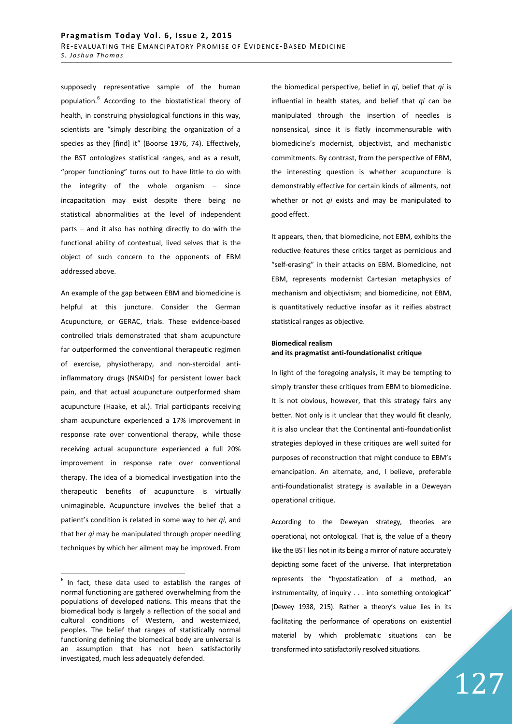supposedly representative sample of the human population.<sup>6</sup> According to the biostatistical theory of health, in construing physiological functions in this way, scientists are "simply describing the organization of a species as they [find] it" (Boorse 1976, 74). Effectively, the BST ontologizes statistical ranges, and as a result, "proper functioning" turns out to have little to do with the integrity of the whole organism – since incapacitation may exist despite there being no statistical abnormalities at the level of independent parts – and it also has nothing directly to do with the functional ability of contextual, lived selves that is the object of such concern to the opponents of EBM addressed above.

An example of the gap between EBM and biomedicine is helpful at this juncture. Consider the German Acupuncture, or GERAC, trials. These evidence-based controlled trials demonstrated that sham acupuncture far outperformed the conventional therapeutic regimen of exercise, physiotherapy, and non-steroidal antiinflammatory drugs (NSAIDs) for persistent lower back pain, and that actual acupuncture outperformed sham acupuncture (Haake, et al.). Trial participants receiving sham acupuncture experienced a 17% improvement in response rate over conventional therapy, while those receiving actual acupuncture experienced a full 20% improvement in response rate over conventional therapy. The idea of a biomedical investigation into the therapeutic benefits of acupuncture is virtually unimaginable. Acupuncture involves the belief that a patient's condition is related in some way to her *qi*, and that her *qi* may be manipulated through proper needling techniques by which her ailment may be improved. From

 $\overline{a}$ 

the biomedical perspective, belief in *qi*, belief that *qi* is influential in health states, and belief that *qi* can be manipulated through the insertion of needles is nonsensical, since it is flatly incommensurable with biomedicine's modernist, objectivist, and mechanistic commitments. By contrast, from the perspective of EBM, the interesting question is whether acupuncture is demonstrably effective for certain kinds of ailments, not whether or not *qi* exists and may be manipulated to good effect.

It appears, then, that biomedicine, not EBM, exhibits the reductive features these critics target as pernicious and "self-erasing" in their attacks on EBM. Biomedicine, not EBM, represents modernist Cartesian metaphysics of mechanism and objectivism; and biomedicine, not EBM, is quantitatively reductive insofar as it reifies abstract statistical ranges as objective.

# **Biomedical realism and its pragmatist anti-foundationalist critique**

In light of the foregoing analysis, it may be tempting to simply transfer these critiques from EBM to biomedicine. It is not obvious, however, that this strategy fairs any better. Not only is it unclear that they would fit cleanly, it is also unclear that the Continental anti-foundationlist strategies deployed in these critiques are well suited for purposes of reconstruction that might conduce to EBM's emancipation. An alternate, and, I believe, preferable anti-foundationalist strategy is available in a Deweyan operational critique.

According to the Deweyan strategy, theories are operational, not ontological. That is, the value of a theory like the BST lies not in its being a mirror of nature accurately depicting some facet of the universe. That interpretation represents the "hypostatization of a method, an instrumentality, of inquiry . . . into something ontological" (Dewey 1938, 215). Rather a theory's value lies in its facilitating the performance of operations on existential material by which problematic situations can be transformed into satisfactorily resolved situations.

 $6$  In fact, these data used to establish the ranges of normal functioning are gathered overwhelming from the populations of developed nations. This means that the biomedical body is largely a reflection of the social and cultural conditions of Western, and westernized, peoples. The belief that ranges of statistically normal functioning defining the biomedical body are universal is an assumption that has not been satisfactorily investigated, much less adequately defended.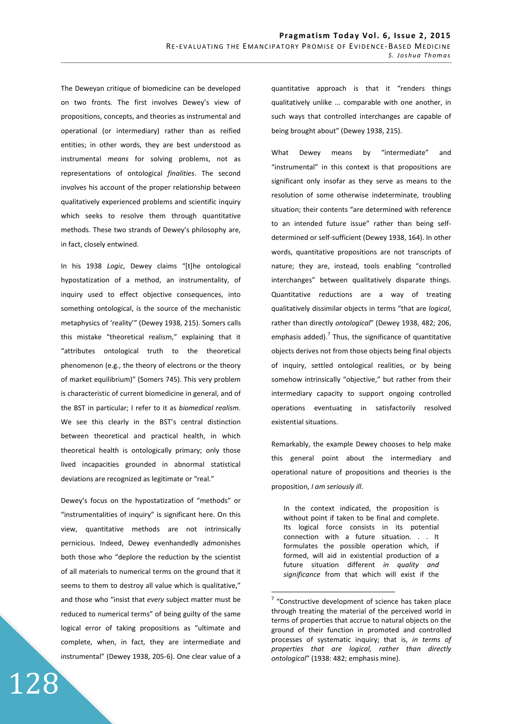The Deweyan critique of biomedicine can be developed on two fronts. The first involves Dewey's view of propositions, concepts, and theories as instrumental and operational (or intermediary) rather than as reified entities; in other words, they are best understood as instrumental *means* for solving problems, not as representations of ontological *finalities*. The second involves his account of the proper relationship between qualitatively experienced problems and scientific inquiry which seeks to resolve them through quantitative methods. These two strands of Dewey's philosophy are, in fact, closely entwined.

In his 1938 *Logic*, Dewey claims "[t]he ontological hypostatization of a method, an instrumentality, of inquiry used to effect objective consequences, into something ontological, is the source of the mechanistic metaphysics of 'reality'" (Dewey 1938, 215). Somers calls this mistake "theoretical realism," explaining that it "attributes ontological truth to the theoretical phenomenon (e.g., the theory of electrons or the theory of market equilibrium)" (Somers 745). This very problem is characteristic of current biomedicine in general, and of the BST in particular; I refer to it as *biomedical realism*. We see this clearly in the BST's central distinction between theoretical and practical health, in which theoretical health is ontologically primary; only those lived incapacities grounded in abnormal statistical deviations are recognized as legitimate or "real."

Dewey's focus on the hypostatization of "methods" or "instrumentalities of inquiry" is significant here. On this view, quantitative methods are not intrinsically pernicious. Indeed, Dewey evenhandedly admonishes both those who "deplore the reduction by the scientist of all materials to numerical terms on the ground that it seems to them to destroy all value which is qualitative," and those who "insist that *every* subject matter must be reduced to numerical terms" of being guilty of the same logical error of taking propositions as "ultimate and complete, when, in fact, they are intermediate and instrumental" (Dewey 1938, 205-6). One clear value of a

128

quantitative approach is that it "renders things qualitatively unlike ... comparable with one another, in such ways that controlled interchanges are capable of being brought about" (Dewey 1938, 215).

What Dewey means by "intermediate" and "instrumental" in this context is that propositions are significant only insofar as they serve as means to the resolution of some otherwise indeterminate, troubling situation; their contents "are determined with reference to an intended future issue" rather than being selfdetermined or self-sufficient (Dewey 1938, 164). In other words, quantitative propositions are not transcripts of nature; they are, instead, tools enabling "controlled interchanges" between qualitatively disparate things. Quantitative reductions are a way of treating qualitatively dissimilar objects in terms "that are *logical*, rather than directly *ontological*" (Dewey 1938, 482; 206, emphasis added).<sup>7</sup> Thus, the significance of quantitative objects derives not from those objects being final objects of inquiry, settled ontological realities, or by being somehow intrinsically "objective," but rather from their intermediary capacity to support ongoing controlled operations eventuating in satisfactorily resolved existential situations.

Remarkably, the example Dewey chooses to help make this general point about the intermediary and operational nature of propositions and theories is the proposition, *I am seriously ill*.

In the context indicated, the proposition is without point if taken to be final and complete. Its logical force consists in its potential connection with a future situation. . . It formulates the possible operation which, if formed, will aid in existential production of a future situation different *in quality and significance* from that which will exist if the

 $7$  "Constructive development of science has taken place through treating the material of the perceived world in terms of properties that accrue to natural objects on the ground of their function in promoted and controlled processes of systematic inquiry; that is, *in terms of properties that are logical, rather than directly ontological*" (1938: 482; emphasis mine).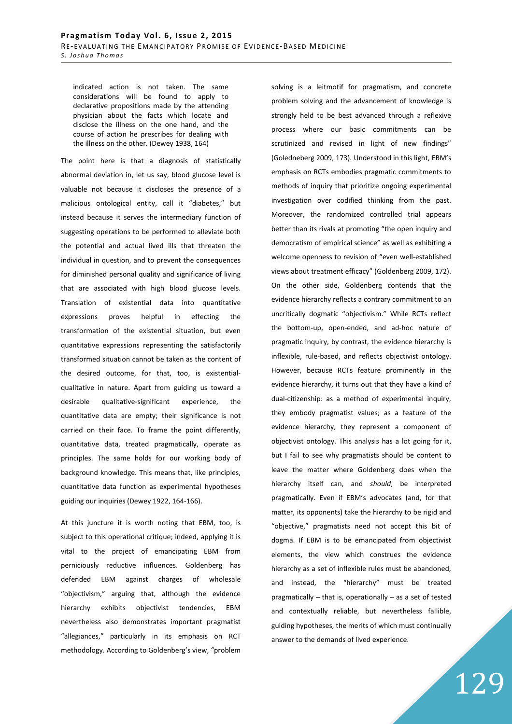indicated action is not taken. The same considerations will be found to apply to declarative propositions made by the attending physician about the facts which locate and disclose the illness on the one hand, and the course of action he prescribes for dealing with the illness on the other. (Dewey 1938, 164)

The point here is that a diagnosis of statistically abnormal deviation in, let us say, blood glucose level is valuable not because it discloses the presence of a malicious ontological entity, call it "diabetes," but instead because it serves the intermediary function of suggesting operations to be performed to alleviate both the potential and actual lived ills that threaten the individual in question, and to prevent the consequences for diminished personal quality and significance of living that are associated with high blood glucose levels. Translation of existential data into quantitative expressions proves helpful in effecting the transformation of the existential situation, but even quantitative expressions representing the satisfactorily transformed situation cannot be taken as the content of the desired outcome, for that, too, is existentialqualitative in nature. Apart from guiding us toward a desirable qualitative-significant experience, the quantitative data are empty; their significance is not carried on their face. To frame the point differently, quantitative data, treated pragmatically, operate as principles. The same holds for our working body of background knowledge. This means that, like principles, quantitative data function as experimental hypotheses guiding our inquiries (Dewey 1922, 164-166).

At this juncture it is worth noting that EBM, too, is subject to this operational critique; indeed, applying it is vital to the project of emancipating EBM from perniciously reductive influences. Goldenberg has defended EBM against charges of wholesale "objectivism," arguing that, although the evidence hierarchy exhibits objectivist tendencies, nevertheless also demonstrates important pragmatist "allegiances," particularly in its emphasis on RCT methodology. According to Goldenberg's view, "problem

solving is a leitmotif for pragmatism, and concrete problem solving and the advancement of knowledge is strongly held to be best advanced through a reflexive process where our basic commitments can be scrutinized and revised in light of new findings" (Goledneberg 2009, 173). Understood in this light, EBM's emphasis on RCTs embodies pragmatic commitments to methods of inquiry that prioritize ongoing experimental investigation over codified thinking from the past. Moreover, the randomized controlled trial appears better than its rivals at promoting "the open inquiry and democratism of empirical science" as well as exhibiting a welcome openness to revision of "even well-established views about treatment efficacy" (Goldenberg 2009, 172). On the other side, Goldenberg contends that the evidence hierarchy reflects a contrary commitment to an uncritically dogmatic "objectivism." While RCTs reflect the bottom-up, open-ended, and ad-hoc nature of pragmatic inquiry, by contrast, the evidence hierarchy is inflexible, rule-based, and reflects objectivist ontology. However, because RCTs feature prominently in the evidence hierarchy, it turns out that they have a kind of dual-citizenship: as a method of experimental inquiry, they embody pragmatist values; as a feature of the evidence hierarchy, they represent a component of objectivist ontology. This analysis has a lot going for it, but I fail to see why pragmatists should be content to leave the matter where Goldenberg does when the hierarchy itself can, and *should*, be interpreted pragmatically. Even if EBM's advocates (and, for that matter, its opponents) take the hierarchy to be rigid and "objective," pragmatists need not accept this bit of dogma. If EBM is to be emancipated from objectivist elements, the view which construes the evidence hierarchy as a set of inflexible rules must be abandoned, and instead, the "hierarchy" must be treated pragmatically – that is, operationally – as a set of tested and contextually reliable, but nevertheless fallible, guiding hypotheses, the merits of which must continually answer to the demands of lived experience.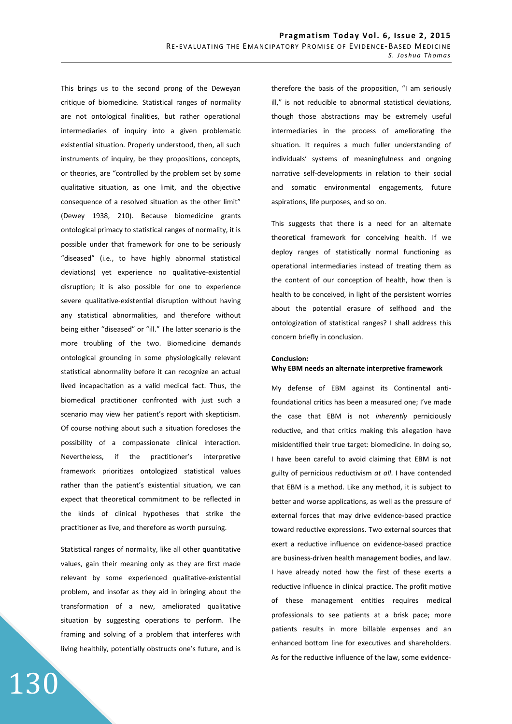This brings us to the second prong of the Deweyan critique of biomedicine. Statistical ranges of normality are not ontological finalities, but rather operational intermediaries of inquiry into a given problematic existential situation. Properly understood, then, all such instruments of inquiry, be they propositions, concepts, or theories, are "controlled by the problem set by some qualitative situation, as one limit, and the objective consequence of a resolved situation as the other limit" (Dewey 1938, 210). Because biomedicine grants ontological primacy to statistical ranges of normality, it is possible under that framework for one to be seriously "diseased" (i.e., to have highly abnormal statistical deviations) yet experience no qualitative-existential disruption; it is also possible for one to experience severe qualitative-existential disruption without having any statistical abnormalities, and therefore without being either "diseased" or "ill." The latter scenario is the more troubling of the two. Biomedicine demands ontological grounding in some physiologically relevant statistical abnormality before it can recognize an actual lived incapacitation as a valid medical fact. Thus, the biomedical practitioner confronted with just such a scenario may view her patient's report with skepticism. Of course nothing about such a situation forecloses the possibility of a compassionate clinical interaction. Nevertheless, if the practitioner's interpretive framework prioritizes ontologized statistical values rather than the patient's existential situation, we can expect that theoretical commitment to be reflected in the kinds of clinical hypotheses that strike the practitioner as live, and therefore as worth pursuing.

Statistical ranges of normality, like all other quantitative values, gain their meaning only as they are first made relevant by some experienced qualitative-existential problem, and insofar as they aid in bringing about the transformation of a new, ameliorated qualitative situation by suggesting operations to perform. The framing and solving of a problem that interferes with living healthily, potentially obstructs one's future, and is

130

therefore the basis of the proposition, "I am seriously ill," is not reducible to abnormal statistical deviations, though those abstractions may be extremely useful intermediaries in the process of ameliorating the situation. It requires a much fuller understanding of individuals' systems of meaningfulness and ongoing narrative self-developments in relation to their social and somatic environmental engagements, future aspirations, life purposes, and so on.

This suggests that there is a need for an alternate theoretical framework for conceiving health. If we deploy ranges of statistically normal functioning as operational intermediaries instead of treating them as the content of our conception of health, how then is health to be conceived, in light of the persistent worries about the potential erasure of selfhood and the ontologization of statistical ranges? I shall address this concern briefly in conclusion.

## **Conclusion:**

### **Why EBM needs an alternate interpretive framework**

My defense of EBM against its Continental antifoundational critics has been a measured one; I've made the case that EBM is not *inherently* perniciously reductive, and that critics making this allegation have misidentified their true target: biomedicine. In doing so, I have been careful to avoid claiming that EBM is not guilty of pernicious reductivism *at all*. I have contended that EBM is a method. Like any method, it is subject to better and worse applications, as well as the pressure of external forces that may drive evidence-based practice toward reductive expressions. Two external sources that exert a reductive influence on evidence-based practice are business-driven health management bodies, and law. I have already noted how the first of these exerts a reductive influence in clinical practice. The profit motive of these management entities requires medical professionals to see patients at a brisk pace; more patients results in more billable expenses and an enhanced bottom line for executives and shareholders. As for the reductive influence of the law, some evidence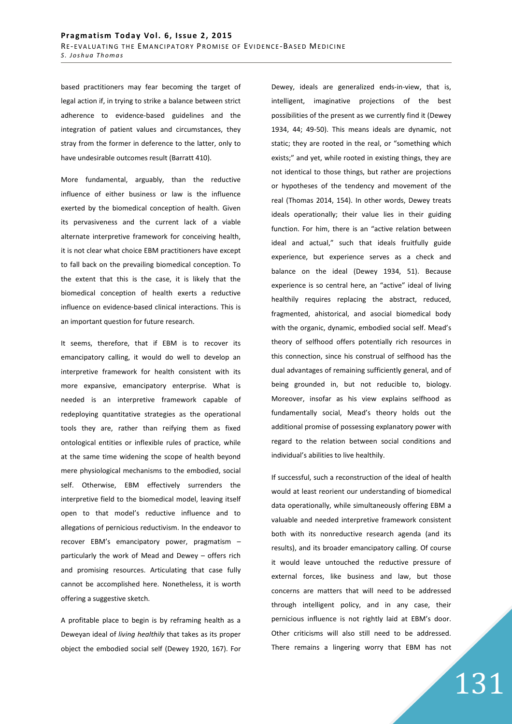based practitioners may fear becoming the target of legal action if, in trying to strike a balance between strict adherence to evidence-based guidelines and the integration of patient values and circumstances, they stray from the former in deference to the latter, only to have undesirable outcomes result (Barratt 410).

More fundamental, arguably, than the reductive influence of either business or law is the influence exerted by the biomedical conception of health. Given its pervasiveness and the current lack of a viable alternate interpretive framework for conceiving health, it is not clear what choice EBM practitioners have except to fall back on the prevailing biomedical conception. To the extent that this is the case, it is likely that the biomedical conception of health exerts a reductive influence on evidence-based clinical interactions. This is an important question for future research.

It seems, therefore, that if EBM is to recover its emancipatory calling, it would do well to develop an interpretive framework for health consistent with its more expansive, emancipatory enterprise. What is needed is an interpretive framework capable of redeploying quantitative strategies as the operational tools they are, rather than reifying them as fixed ontological entities or inflexible rules of practice, while at the same time widening the scope of health beyond mere physiological mechanisms to the embodied, social self. Otherwise, EBM effectively surrenders the interpretive field to the biomedical model, leaving itself open to that model's reductive influence and to allegations of pernicious reductivism. In the endeavor to recover EBM's emancipatory power, pragmatism – particularly the work of Mead and Dewey – offers rich and promising resources. Articulating that case fully cannot be accomplished here. Nonetheless, it is worth offering a suggestive sketch.

A profitable place to begin is by reframing health as a Deweyan ideal of *living healthily* that takes as its proper object the embodied social self (Dewey 1920, 167). For Dewey, ideals are generalized ends-in-view, that is, intelligent, imaginative projections of the best possibilities of the present as we currently find it (Dewey 1934, 44; 49-50). This means ideals are dynamic, not static; they are rooted in the real, or "something which exists;" and yet, while rooted in existing things, they are not identical to those things, but rather are projections or hypotheses of the tendency and movement of the real (Thomas 2014, 154). In other words, Dewey treats ideals operationally; their value lies in their guiding function. For him, there is an "active relation between ideal and actual," such that ideals fruitfully guide experience, but experience serves as a check and balance on the ideal (Dewey 1934, 51). Because experience is so central here, an "active" ideal of living healthily requires replacing the abstract, reduced, fragmented, ahistorical, and asocial biomedical body with the organic, dynamic, embodied social self. Mead's theory of selfhood offers potentially rich resources in this connection, since his construal of selfhood has the dual advantages of remaining sufficiently general, and of being grounded in, but not reducible to, biology. Moreover, insofar as his view explains selfhood as fundamentally social, Mead's theory holds out the additional promise of possessing explanatory power with regard to the relation between social conditions and individual's abilities to live healthily.

If successful, such a reconstruction of the ideal of health would at least reorient our understanding of biomedical data operationally, while simultaneously offering EBM a valuable and needed interpretive framework consistent both with its nonreductive research agenda (and its results), and its broader emancipatory calling. Of course it would leave untouched the reductive pressure of external forces, like business and law, but those concerns are matters that will need to be addressed through intelligent policy, and in any case, their pernicious influence is not rightly laid at EBM's door. Other criticisms will also still need to be addressed. There remains a lingering worry that EBM has not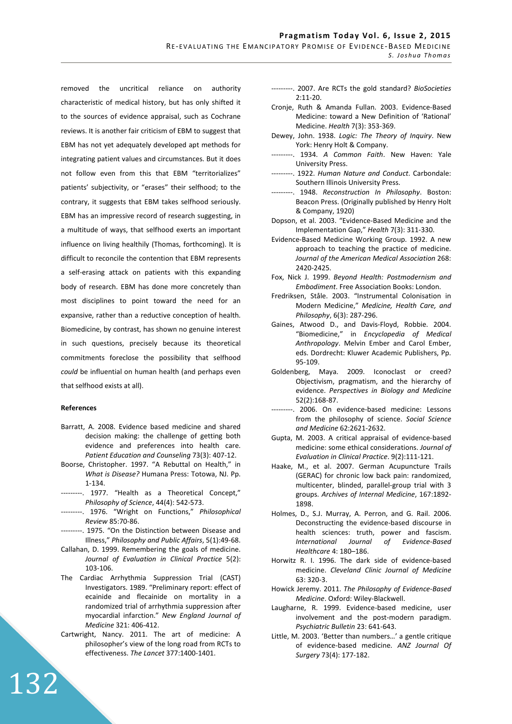removed the uncritical reliance on authority characteristic of medical history, but has only shifted it to the sources of evidence appraisal, such as Cochrane reviews. It is another fair criticism of EBM to suggest that EBM has not yet adequately developed apt methods for integrating patient values and circumstances. But it does not follow even from this that EBM "territorializes" patients' subjectivity, or "erases" their selfhood; to the contrary, it suggests that EBM takes selfhood seriously. EBM has an impressive record of research suggesting, in a multitude of ways, that selfhood exerts an important influence on living healthily (Thomas, forthcoming). It is difficult to reconcile the contention that EBM represents a self-erasing attack on patients with this expanding body of research. EBM has done more concretely than most disciplines to point toward the need for an expansive, rather than a reductive conception of health. Biomedicine, by contrast, has shown no genuine interest in such questions, precisely because its theoretical commitments foreclose the possibility that selfhood *could* be influential on human health (and perhaps even that selfhood exists at all).

## **References**

- Barratt, A. 2008. Evidence based medicine and shared decision making: the challenge of getting both evidence and preferences into health care. *Patient Education and Counseling* 73(3): 407-12.
- Boorse, Christopher. 1997. "A Rebuttal on Health," in *What is Disease?* Humana Press: Totowa, NJ. Pp. 1-134.
- ---------. 1977. "Health as a Theoretical Concept," *Philosophy of Science*, 44(4): 542-573.
- ---------. 1976. "Wright on Functions," *Philosophical Review* 85:70-86.
- ---------. 1975. "On the Distinction between Disease and Illness," *Philosophy and Public Affairs*, 5(1):49-68.
- Callahan, D. 1999. Remembering the goals of medicine. *Journal of Evaluation in Clinical Practice* 5(2): 103-106.
- The Cardiac Arrhythmia Suppression Trial (CAST) Investigators. 1989. "Preliminary report: effect of ecainide and flecainide on mortality in a randomized trial of arrhythmia suppression after myocardial infarction." *New England Journal of Medicine* 321: 406-412.
- Cartwright, Nancy. 2011. The art of medicine: A philosopher's view of the long road from RCTs to effectiveness. *The Lancet* 377:1400-1401.
- ---------. 2007. Are RCTs the gold standard? *BioSocieties* 2:11-20.
- Cronje, Ruth & Amanda Fullan. 2003. Evidence-Based Medicine: toward a New Definition of 'Rational' Medicine. *Health* 7(3): 353-369.
- Dewey, John. 1938. *Logic: The Theory of Inquiry*. New York: Henry Holt & Company.
- ---------. 1934. *A Common Faith*. New Haven: Yale University Press.
- ---------. 1922. *Human Nature and Conduct*. Carbondale: Southern Illinois University Press.
- ---------. 1948. *Reconstruction In Philosophy*. Boston: Beacon Press. (Originally published by Henry Holt & Company, 1920)
- Dopson, et al. 2003. "Evidence-Based Medicine and the Implementation Gap," *Health* 7(3): 311-330.
- Evidence-Based Medicine Working Group. 1992. A new approach to teaching the practice of medicine. *Journal of the American Medical Association* 268: 2420-2425.
- Fox, Nick J. 1999. *Beyond Health: Postmodernism and Embodiment*. Free Association Books: London.
- Fredriksen, Ståle. 2003. "Instrumental Colonisation in Modern Medicine," *Medicine, Health Care, and Philosophy*, 6(3): 287-296.
- Gaines, Atwood D., and Davis-Floyd, Robbie. 2004. "Biomedicine," in *Encyclopedia of Medical Anthropology*. Melvin Ember and Carol Ember, eds. Dordrecht: Kluwer Academic Publishers, Pp. 95-109.
- Goldenberg, Maya. 2009. Iconoclast or creed? Objectivism, pragmatism, and the hierarchy of evidence. *Perspectives in Biology and Medicine* 52(2):168-87.
- ---------. 2006. On evidence-based medicine: Lessons from the philosophy of science. *Social Science and Medicine* 62:2621-2632.
- Gupta, M. 2003. A critical appraisal of evidence-based medicine: some ethical considerations. *Journal of Evaluation in Clinical Practice*. 9(2):111-121.
- Haake, M., et al. 2007. German Acupuncture Trails (GERAC) for chronic low back pain: randomized, multicenter, blinded, parallel-group trial with 3 groups. *Archives of Internal Medicine*, 167:1892- 1898.
- Holmes, D., S.J. Murray, A. Perron, and G. Rail. 2006. Deconstructing the evidence-based discourse in health sciences: truth, power and fascism. *International Journal of Evidence-Based Healthcare* 4: 180–186.
- Horwitz R. I. 1996. The dark side of evidence-based medicine. *Cleveland Clinic Journal of Medicine*  63: 320-3.
- Howick Jeremy. 2011. *The Philosophy of Evidence-Based Medicine*. Oxford: Wiley-Blackwell.
- Laugharne, R. 1999. Evidence-based medicine, user involvement and the post-modern paradigm. *Psychiatric Bulletin* 23: 641-643.
- Little, M. 2003. 'Better than numbers…' a gentle critique of evidence-based medicine. *ANZ Journal Of Surgery* 73(4): 177-182.